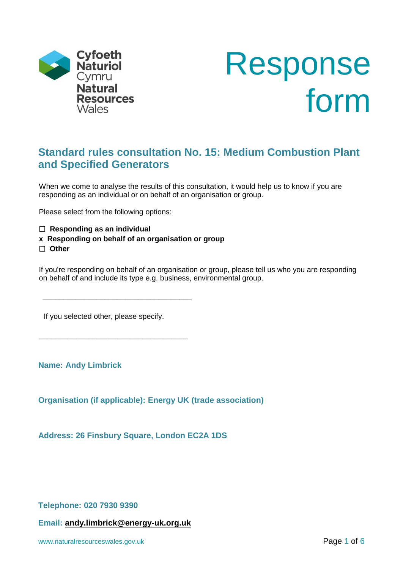



# **Standard rules consultation No. 15: Medium Combustion Plant and Specified Generators**

When we come to analyse the results of this consultation, it would help us to know if you are responding as an individual or on behalf of an organisation or group.

Please select from the following options:

 **Responding as an individual**

**x Responding on behalf of an organisation or group Other**

If you're responding on behalf of an organisation or group, please tell us who you are responding on behalf of and include its type e.g. business, environmental group.

If you selected other, please specify.

**\_\_\_\_\_\_\_\_\_\_\_\_\_\_\_\_\_\_\_\_\_\_\_\_\_\_\_\_\_\_\_\_\_\_\_\_**

**\_\_\_\_\_\_\_\_\_\_\_\_\_\_\_\_\_\_\_\_\_\_\_\_\_\_\_\_\_\_\_\_\_\_\_\_**

**Name: Andy Limbrick**

**Organisation (if applicable): Energy UK (trade association)**

**Address: 26 Finsbury Square, London EC2A 1DS**

**Telephone: 020 7930 9390**

**Email: [andy.limbrick@energy-uk.org.uk](mailto:andy.limbrick@energy-uk.org.uk)**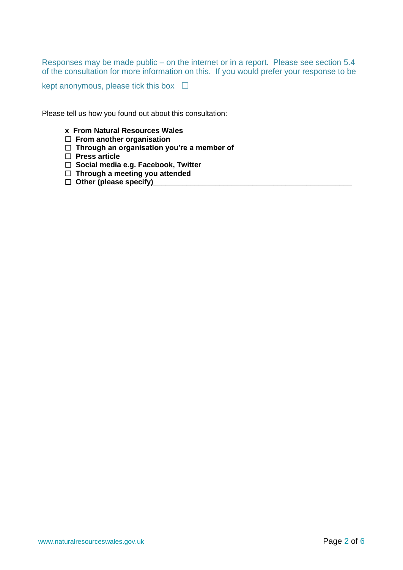Responses may be made public – on the internet or in a report. Please see section 5.4 of the consultation for more information on this. If you would prefer your response to be

kept anonymous, please tick this box  $\Box$ 

Please tell us how you found out about this consultation:

- **x From Natural Resources Wales**
- **From another organisation**
- **Through an organisation you're a member of**
- **Press article**
- **Social media e.g. Facebook, Twitter**
- **Through a meeting you attended**
- **Other (please specify)\_\_\_\_\_\_\_\_\_\_\_\_\_\_\_\_\_\_\_\_\_\_\_\_\_\_\_\_\_\_\_\_\_\_\_\_\_\_\_\_\_\_\_\_\_\_\_\_**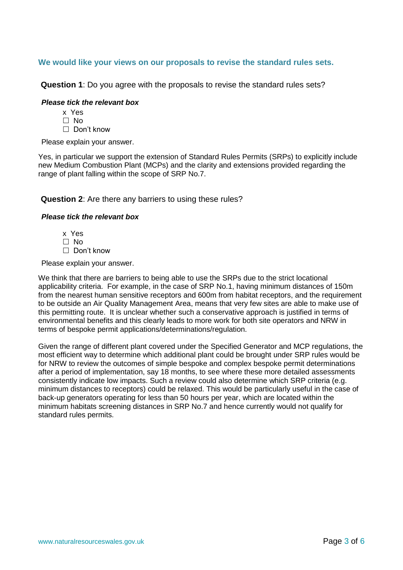#### **We would like your views on our proposals to revise the standard rules sets.**

**Question 1**: Do you agree with the proposals to revise the standard rules sets?

#### *Please tick the relevant box*

- x Yes
- $\Box$  No
- □ Don't know

Please explain your answer.

Yes, in particular we support the extension of Standard Rules Permits (SRPs) to explicitly include new Medium Combustion Plant (MCPs) and the clarity and extensions provided regarding the range of plant falling within the scope of SRP No.7.

#### **Question 2**: Are there any barriers to using these rules?

#### *Please tick the relevant box*

- x Yes
- $\Box$  No
- □ Don't know

Please explain your answer.

We think that there are barriers to being able to use the SRPs due to the strict locational applicability criteria. For example, in the case of SRP No.1, having minimum distances of 150m from the nearest human sensitive receptors and 600m from habitat receptors, and the requirement to be outside an Air Quality Management Area, means that very few sites are able to make use of this permitting route. It is unclear whether such a conservative approach is justified in terms of environmental benefits and this clearly leads to more work for both site operators and NRW in terms of bespoke permit applications/determinations/regulation.

Given the range of different plant covered under the Specified Generator and MCP regulations, the most efficient way to determine which additional plant could be brought under SRP rules would be for NRW to review the outcomes of simple bespoke and complex bespoke permit determinations after a period of implementation, say 18 months, to see where these more detailed assessments consistently indicate low impacts. Such a review could also determine which SRP criteria (e.g. minimum distances to receptors) could be relaxed. This would be particularly useful in the case of back-up generators operating for less than 50 hours per year, which are located within the minimum habitats screening distances in SRP No.7 and hence currently would not qualify for standard rules permits.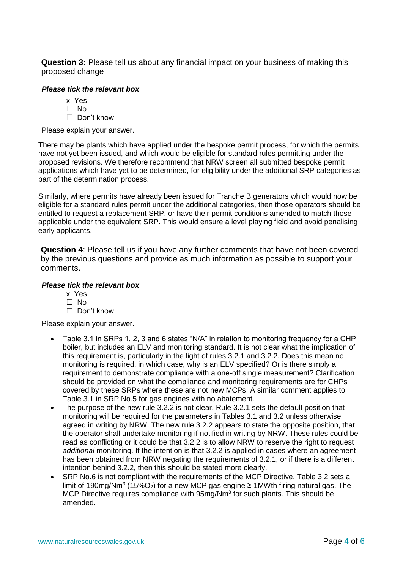**Question 3:** Please tell us about any financial impact on your business of making this proposed change

#### *Please tick the relevant box*

- x Yes
- $\Box$  No
- Don't know

Please explain your answer.

There may be plants which have applied under the bespoke permit process, for which the permits have not yet been issued, and which would be eligible for standard rules permitting under the proposed revisions. We therefore recommend that NRW screen all submitted bespoke permit applications which have yet to be determined, for eligibility under the additional SRP categories as part of the determination process.

Similarly, where permits have already been issued for Tranche B generators which would now be eligible for a standard rules permit under the additional categories, then those operators should be entitled to request a replacement SRP, or have their permit conditions amended to match those applicable under the equivalent SRP. This would ensure a level playing field and avoid penalising early applicants.

**Question 4**: Please tell us if you have any further comments that have not been covered by the previous questions and provide as much information as possible to support your comments.

#### *Please tick the relevant box*

- x Yes  $\Box$  No
- $\Box$  Don't know

Please explain your answer.

- Table 3.1 in SRPs 1, 2, 3 and 6 states "N/A" in relation to monitoring frequency for a CHP boiler, but includes an ELV and monitoring standard. It is not clear what the implication of this requirement is, particularly in the light of rules 3.2.1 and 3.2.2. Does this mean no monitoring is required, in which case, why is an ELV specified? Or is there simply a requirement to demonstrate compliance with a one-off single measurement? Clarification should be provided on what the compliance and monitoring requirements are for CHPs covered by these SRPs where these are not new MCPs. A similar comment applies to Table 3.1 in SRP No.5 for gas engines with no abatement.
- The purpose of the new rule 3.2.2 is not clear. Rule 3.2.1 sets the default position that monitoring will be required for the parameters in Tables 3.1 and 3.2 unless otherwise agreed in writing by NRW. The new rule 3.2.2 appears to state the opposite position, that the operator shall undertake monitoring if notified in writing by NRW. These rules could be read as conflicting or it could be that 3.2.2 is to allow NRW to reserve the right to request *additional* monitoring. If the intention is that 3.2.2 is applied in cases where an agreement has been obtained from NRW negating the requirements of 3.2.1, or if there is a different intention behind 3.2.2, then this should be stated more clearly.
- SRP No.6 is not compliant with the requirements of the MCP Directive. Table 3.2 sets a limit of 190mg/Nm<sup>3</sup> (15%O<sub>2</sub>) for a new MCP gas engine ≥ 1MWth firing natural gas. The MCP Directive requires compliance with  $95mg/Nm<sup>3</sup>$  for such plants. This should be amended.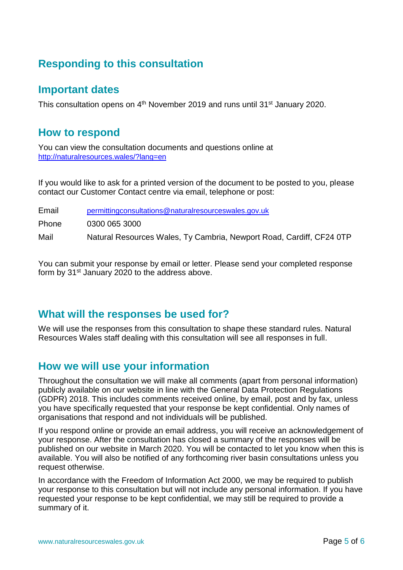# **Responding to this consultation**

## **Important dates**

This consultation opens on 4<sup>th</sup> November 2019 and runs until 31<sup>st</sup> January 2020.

### **How to respond**

You can view the consultation documents and questions online at <http://naturalresources.wales/?lang=en>

If you would like to ask for a printed version of the document to be posted to you, please contact our Customer Contact centre via email, telephone or post:

Email [permittingconsultations@naturalresourceswales.gov.uk](mailto:permittingconsultations@naturalresourceswales.gov.uk) Phone 0300 065 3000 Mail Matural Resources Wales, Ty Cambria, Newport Road, Cardiff, CF24 0TP

You can submit your response by email or letter. Please send your completed response form by 31<sup>st</sup> January 2020 to the address above.

## **What will the responses be used for?**

We will use the responses from this consultation to shape these standard rules. Natural Resources Wales staff dealing with this consultation will see all responses in full.

## **How we will use your information**

Throughout the consultation we will make all comments (apart from personal information) publicly available on our website in line with the General Data Protection Regulations (GDPR) 2018. This includes comments received online, by email, post and by fax, unless you have specifically requested that your response be kept confidential. Only names of organisations that respond and not individuals will be published.

If you respond online or provide an email address, you will receive an acknowledgement of your response. After the consultation has closed a summary of the responses will be published on our website in March 2020. You will be contacted to let you know when this is available. You will also be notified of any forthcoming river basin consultations unless you request otherwise.

In accordance with the Freedom of Information Act 2000, we may be required to publish your response to this consultation but will not include any personal information. If you have requested your response to be kept confidential, we may still be required to provide a summary of it.